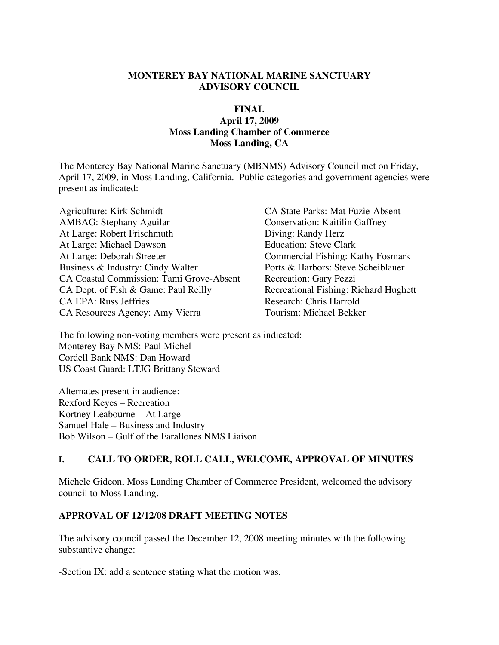#### **MONTEREY BAY NATIONAL MARINE SANCTUARY ADVISORY COUNCIL**

#### **FINAL**

#### **April 17, 2009 Moss Landing Chamber of Commerce Moss Landing, CA**

The Monterey Bay National Marine Sanctuary (MBNMS) Advisory Council met on Friday, April 17, 2009, in Moss Landing, California. Public categories and government agencies were present as indicated:

Agriculture: Kirk Schmidt CA State Parks: Mat Fuzie-Absent AMBAG: Stephany Aguilar Conservation: Kaitilin Gaffney At Large: Robert Frischmuth Diving: Randy Herz At Large: Michael Dawson<br>
At Large: Deborah Streeter<br>
Commercial Fishing: K Business & Industry: Cindy Walter Ports & Harbors: Steve Scheiblauer CA Coastal Commission: Tami Grove-Absent Recreation: Gary Pezzi CA Dept. of Fish & Game: Paul Reilly Recreational Fishing: Richard Hughett CA EPA: Russ Jeffries Research: Chris Harrold CA Resources Agency: Amy Vierra Tourism: Michael Bekker

Commercial Fishing: Kathy Fosmark

The following non-voting members were present as indicated: Monterey Bay NMS: Paul Michel Cordell Bank NMS: Dan Howard US Coast Guard: LTJG Brittany Steward

Alternates present in audience: Rexford Keyes – Recreation Kortney Leabourne - At Large Samuel Hale – Business and Industry Bob Wilson – Gulf of the Farallones NMS Liaison

#### **I. CALL TO ORDER, ROLL CALL, WELCOME, APPROVAL OF MINUTES**

Michele Gideon, Moss Landing Chamber of Commerce President, welcomed the advisory council to Moss Landing.

#### **APPROVAL OF 12/12/08 DRAFT MEETING NOTES**

The advisory council passed the December 12, 2008 meeting minutes with the following substantive change:

-Section IX: add a sentence stating what the motion was.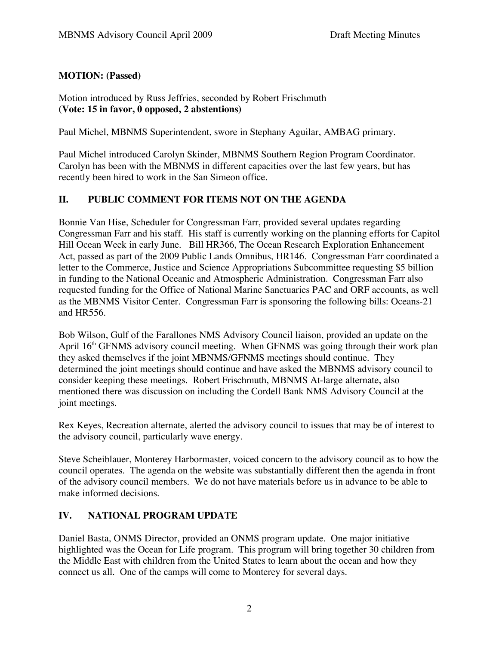# **MOTION: (Passed)**

Motion introduced by Russ Jeffries, seconded by Robert Frischmuth **(Vote: 15 in favor, 0 opposed, 2 abstentions)**

Paul Michel, MBNMS Superintendent, swore in Stephany Aguilar, AMBAG primary.

Paul Michel introduced Carolyn Skinder, MBNMS Southern Region Program Coordinator. Carolyn has been with the MBNMS in different capacities over the last few years, but has recently been hired to work in the San Simeon office.

#### **II. PUBLIC COMMENT FOR ITEMS NOT ON THE AGENDA**

Bonnie Van Hise, Scheduler for Congressman Farr, provided several updates regarding Congressman Farr and his staff. His staff is currently working on the planning efforts for Capitol Hill Ocean Week in early June. Bill HR366, The Ocean Research Exploration Enhancement Act, passed as part of the 2009 Public Lands Omnibus, HR146. Congressman Farr coordinated a letter to the Commerce, Justice and Science Appropriations Subcommittee requesting \$5 billion in funding to the National Oceanic and Atmospheric Administration. Congressman Farr also requested funding for the Office of National Marine Sanctuaries PAC and ORF accounts, as well as the MBNMS Visitor Center. Congressman Farr is sponsoring the following bills: Oceans-21 and HR556.

Bob Wilson, Gulf of the Farallones NMS Advisory Council liaison, provided an update on the April 16<sup>th</sup> GFNMS advisory council meeting. When GFNMS was going through their work plan they asked themselves if the joint MBNMS/GFNMS meetings should continue. They determined the joint meetings should continue and have asked the MBNMS advisory council to consider keeping these meetings. Robert Frischmuth, MBNMS At-large alternate, also mentioned there was discussion on including the Cordell Bank NMS Advisory Council at the joint meetings.

Rex Keyes, Recreation alternate, alerted the advisory council to issues that may be of interest to the advisory council, particularly wave energy.

Steve Scheiblauer, Monterey Harbormaster, voiced concern to the advisory council as to how the council operates. The agenda on the website was substantially different then the agenda in front of the advisory council members. We do not have materials before us in advance to be able to make informed decisions.

# **IV. NATIONAL PROGRAM UPDATE**

Daniel Basta, ONMS Director, provided an ONMS program update. One major initiative highlighted was the Ocean for Life program. This program will bring together 30 children from the Middle East with children from the United States to learn about the ocean and how they connect us all. One of the camps will come to Monterey for several days.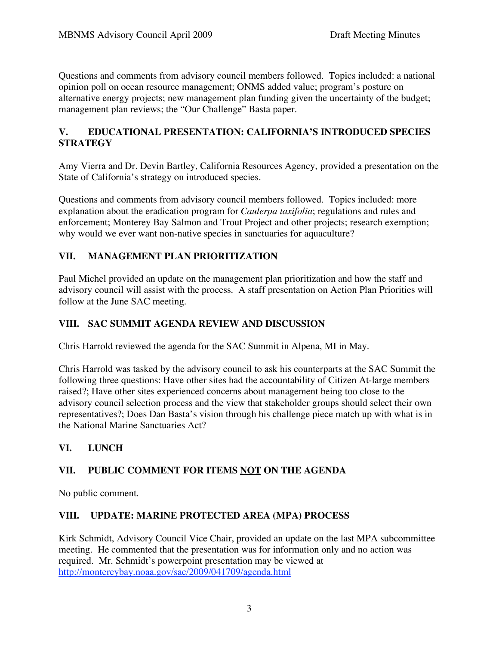Questions and comments from advisory council members followed. Topics included: a national opinion poll on ocean resource management; ONMS added value; program's posture on alternative energy projects; new management plan funding given the uncertainty of the budget; management plan reviews; the "Our Challenge" Basta paper.

# **V. EDUCATIONAL PRESENTATION: CALIFORNIA'S INTRODUCED SPECIES STRATEGY**

Amy Vierra and Dr. Devin Bartley, California Resources Agency, provided a presentation on the State of California's strategy on introduced species.

Questions and comments from advisory council members followed. Topics included: more explanation about the eradication program for *Caulerpa taxifolia*; regulations and rules and enforcement; Monterey Bay Salmon and Trout Project and other projects; research exemption; why would we ever want non-native species in sanctuaries for aquaculture?

# **VII. MANAGEMENT PLAN PRIORITIZATION**

Paul Michel provided an update on the management plan prioritization and how the staff and advisory council will assist with the process. A staff presentation on Action Plan Priorities will follow at the June SAC meeting.

# **VIII. SAC SUMMIT AGENDA REVIEW AND DISCUSSION**

Chris Harrold reviewed the agenda for the SAC Summit in Alpena, MI in May.

Chris Harrold was tasked by the advisory council to ask his counterparts at the SAC Summit the following three questions: Have other sites had the accountability of Citizen At-large members raised?; Have other sites experienced concerns about management being too close to the advisory council selection process and the view that stakeholder groups should select their own representatives?; Does Dan Basta's vision through his challenge piece match up with what is in the National Marine Sanctuaries Act?

# **VI. LUNCH**

# **VII. PUBLIC COMMENT FOR ITEMS NOT ON THE AGENDA**

No public comment.

# **VIII. UPDATE: MARINE PROTECTED AREA (MPA) PROCESS**

Kirk Schmidt, Advisory Council Vice Chair, provided an update on the last MPA subcommittee meeting. He commented that the presentation was for information only and no action was required. Mr. Schmidt's powerpoint presentation may be viewed at http://montereybay.noaa.gov/sac/2009/041709/agenda.html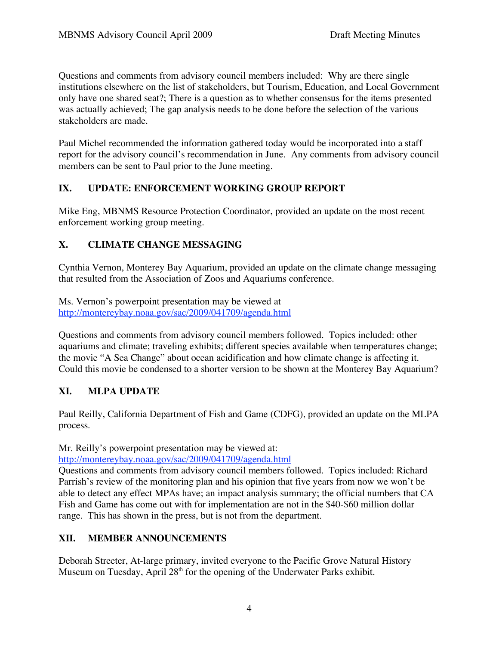Questions and comments from advisory council members included: Why are there single institutions elsewhere on the list of stakeholders, but Tourism, Education, and Local Government only have one shared seat?; There is a question as to whether consensus for the items presented was actually achieved; The gap analysis needs to be done before the selection of the various stakeholders are made.

Paul Michel recommended the information gathered today would be incorporated into a staff report for the advisory council's recommendation in June. Any comments from advisory council members can be sent to Paul prior to the June meeting.

# **IX. UPDATE: ENFORCEMENT WORKING GROUP REPORT**

Mike Eng, MBNMS Resource Protection Coordinator, provided an update on the most recent enforcement working group meeting.

# **X. CLIMATE CHANGE MESSAGING**

Cynthia Vernon, Monterey Bay Aquarium, provided an update on the climate change messaging that resulted from the Association of Zoos and Aquariums conference.

Ms. Vernon's powerpoint presentation may be viewed at http://montereybay.noaa.gov/sac/2009/041709/agenda.html

Questions and comments from advisory council members followed. Topics included: other aquariums and climate; traveling exhibits; different species available when temperatures change; the movie "A Sea Change" about ocean acidification and how climate change is affecting it. Could this movie be condensed to a shorter version to be shown at the Monterey Bay Aquarium?

# **XI. MLPA UPDATE**

Paul Reilly, California Department of Fish and Game (CDFG), provided an update on the MLPA process.

Mr. Reilly's powerpoint presentation may be viewed at: http://montereybay.noaa.gov/sac/2009/041709/agenda.html

Questions and comments from advisory council members followed. Topics included: Richard Parrish's review of the monitoring plan and his opinion that five years from now we won't be able to detect any effect MPAs have; an impact analysis summary; the official numbers that CA Fish and Game has come out with for implementation are not in the \$40-\$60 million dollar range. This has shown in the press, but is not from the department.

# **XII. MEMBER ANNOUNCEMENTS**

Deborah Streeter, At-large primary, invited everyone to the Pacific Grove Natural History Museum on Tuesday, April 28<sup>th</sup> for the opening of the Underwater Parks exhibit.